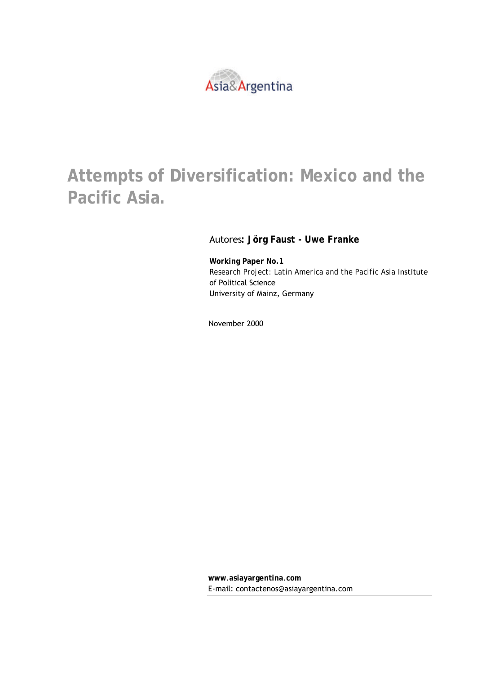

# **Attempts of Diversification: Mexico and the Pacific Asia.**

#### Autores**: Jörg Faust - Uwe Franke**

**Working Paper No.1**  *Research Project: Latin America and the Pacific Asia* Institute of Political Science University of Mainz, Germany

November 2000

**www**.**asiayargentina**.**com** E-mail: contactenos@asiayargentina.com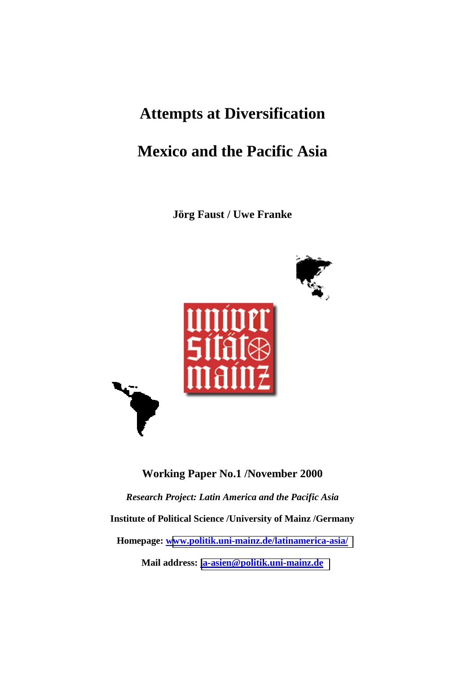### **Attempts at Diversification**

## **Mexico and the Pacific Asia**

**Jörg Faust / Uwe Franke** 



**Working Paper No.1 /November 2000**  *Research Project: Latin America and the Pacific Asia*  **Institute of Political Science /University of Mainz /Germany Homepage: [www.politik.uni-mainz.de/latinamerica-asia/](http://www.politik.uni-mainz.de/latinamerica-asia/)  Mail address: [la-asien@politik.uni-mainz.de](mailto:la-asien@politik.uni-mainz.de)**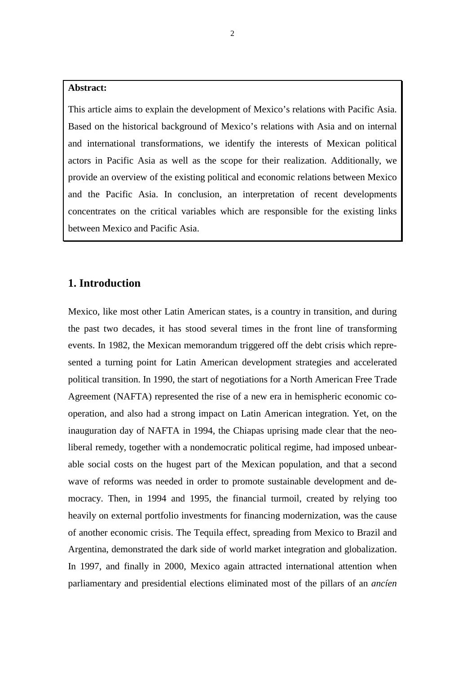#### **Abstract:**

This article aims to explain the development of Mexico's relations with Pacific Asia. Based on the historical background of Mexico's relations with Asia and on internal and international transformations, we identify the interests of Mexican political actors in Pacific Asia as well as the scope for their realization. Additionally, we provide an overview of the existing political and economic relations between Mexico and the Pacific Asia. In conclusion, an interpretation of recent developments concentrates on the critical variables which are responsible for the existing links between Mexico and Pacific Asia.

#### **1. Introduction**

Mexico, like most other Latin American states, is a country in transition, and during the past two decades, it has stood several times in the front line of transforming events. In 1982, the Mexican memorandum triggered off the debt crisis which represented a turning point for Latin American development strategies and accelerated political transition. In 1990, the start of negotiations for a North American Free Trade Agreement (NAFTA) represented the rise of a new era in hemispheric economic cooperation, and also had a strong impact on Latin American integration. Yet, on the inauguration day of NAFTA in 1994, the Chiapas uprising made clear that the neoliberal remedy, together with a nondemocratic political regime, had imposed unbearable social costs on the hugest part of the Mexican population, and that a second wave of reforms was needed in order to promote sustainable development and democracy. Then, in 1994 and 1995, the financial turmoil, created by relying too heavily on external portfolio investments for financing modernization, was the cause of another economic crisis. The Tequila effect, spreading from Mexico to Brazil and Argentina, demonstrated the dark side of world market integration and globalization. In 1997, and finally in 2000, Mexico again attracted international attention when parliamentary and presidential elections eliminated most of the pillars of an *ancíen*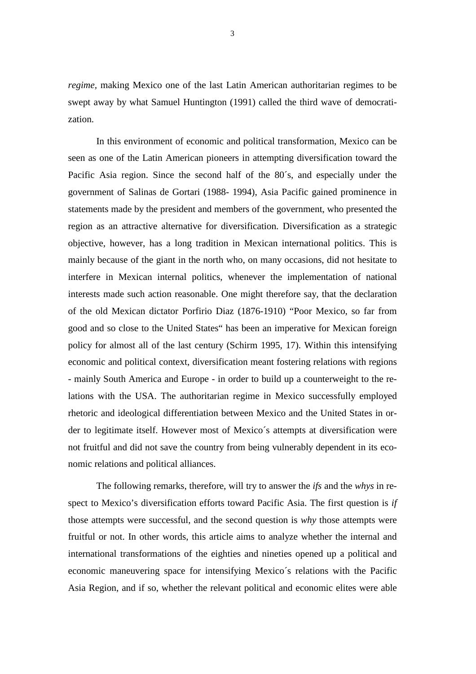*regime,* making Mexico one of the last Latin American authoritarian regimes to be swept away by what Samuel Huntington (1991) called the third wave of democratization.

In this environment of economic and political transformation, Mexico can be seen as one of the Latin American pioneers in attempting diversification toward the Pacific Asia region. Since the second half of the 80´s, and especially under the government of Salinas de Gortari (1988- 1994), Asia Pacific gained prominence in statements made by the president and members of the government, who presented the region as an attractive alternative for diversification. Diversification as a strategic objective, however, has a long tradition in Mexican international politics. This is mainly because of the giant in the north who, on many occasions, did not hesitate to interfere in Mexican internal politics, whenever the implementation of national interests made such action reasonable. One might therefore say, that the declaration of the old Mexican dictator Porfirio Diaz (1876-1910) "Poor Mexico, so far from good and so close to the United States" has been an imperative for Mexican foreign policy for almost all of the last century (Schirm 1995, 17). Within this intensifying economic and political context, diversification meant fostering relations with regions - mainly South America and Europe - in order to build up a counterweight to the relations with the USA. The authoritarian regime in Mexico successfully employed rhetoric and ideological differentiation between Mexico and the United States in order to legitimate itself. However most of Mexico´s attempts at diversification were not fruitful and did not save the country from being vulnerably dependent in its economic relations and political alliances.

The following remarks, therefore, will try to answer the *ifs* and the *whys* in respect to Mexico's diversification efforts toward Pacific Asia. The first question is *if* those attempts were successful, and the second question is *why* those attempts were fruitful or not. In other words, this article aims to analyze whether the internal and international transformations of the eighties and nineties opened up a political and economic maneuvering space for intensifying Mexico´s relations with the Pacific Asia Region, and if so, whether the relevant political and economic elites were able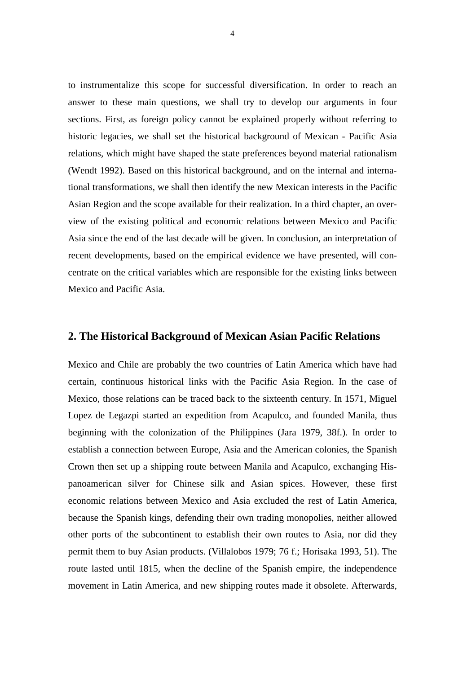to instrumentalize this scope for successful diversification. In order to reach an answer to these main questions, we shall try to develop our arguments in four sections. First, as foreign policy cannot be explained properly without referring to historic legacies, we shall set the historical background of Mexican - Pacific Asia relations, which might have shaped the state preferences beyond material rationalism (Wendt 1992). Based on this historical background, and on the internal and international transformations, we shall then identify the new Mexican interests in the Pacific Asian Region and the scope available for their realization. In a third chapter, an overview of the existing political and economic relations between Mexico and Pacific Asia since the end of the last decade will be given. In conclusion, an interpretation of recent developments, based on the empirical evidence we have presented, will concentrate on the critical variables which are responsible for the existing links between Mexico and Pacific Asia.

#### **2. The Historical Background of Mexican Asian Pacific Relations**

Mexico and Chile are probably the two countries of Latin America which have had certain, continuous historical links with the Pacific Asia Region. In the case of Mexico, those relations can be traced back to the sixteenth century. In 1571, Miguel Lopez de Legazpi started an expedition from Acapulco, and founded Manila, thus beginning with the colonization of the Philippines (Jara 1979, 38f.). In order to establish a connection between Europe, Asia and the American colonies, the Spanish Crown then set up a shipping route between Manila and Acapulco, exchanging Hispanoamerican silver for Chinese silk and Asian spices. However, these first economic relations between Mexico and Asia excluded the rest of Latin America, because the Spanish kings, defending their own trading monopolies, neither allowed other ports of the subcontinent to establish their own routes to Asia, nor did they permit them to buy Asian products. (Villalobos 1979; 76 f.; Horisaka 1993, 51). The route lasted until 1815, when the decline of the Spanish empire, the independence movement in Latin America, and new shipping routes made it obsolete. Afterwards,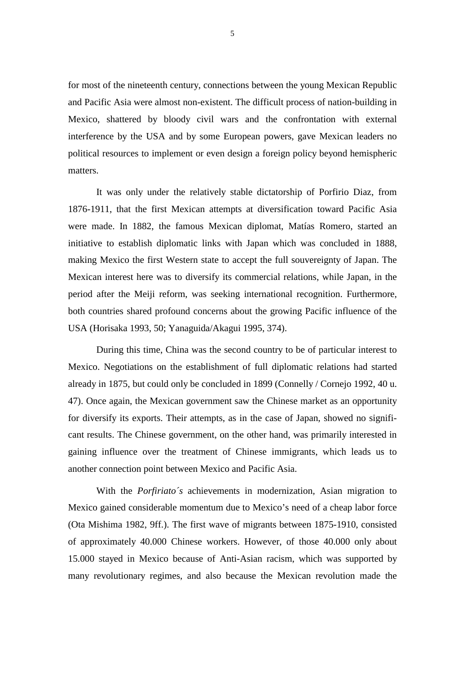for most of the nineteenth century, connections between the young Mexican Republic and Pacific Asia were almost non-existent. The difficult process of nation-building in Mexico, shattered by bloody civil wars and the confrontation with external interference by the USA and by some European powers, gave Mexican leaders no political resources to implement or even design a foreign policy beyond hemispheric matters.

It was only under the relatively stable dictatorship of Porfirio Diaz, from 1876-1911, that the first Mexican attempts at diversification toward Pacific Asia were made. In 1882, the famous Mexican diplomat, Matías Romero, started an initiative to establish diplomatic links with Japan which was concluded in 1888, making Mexico the first Western state to accept the full souvereignty of Japan. The Mexican interest here was to diversify its commercial relations, while Japan, in the period after the Meiji reform, was seeking international recognition. Furthermore, both countries shared profound concerns about the growing Pacific influence of the USA (Horisaka 1993, 50; Yanaguida/Akagui 1995, 374).

During this time, China was the second country to be of particular interest to Mexico. Negotiations on the establishment of full diplomatic relations had started already in 1875, but could only be concluded in 1899 (Connelly / Cornejo 1992, 40 u. 47). Once again, the Mexican government saw the Chinese market as an opportunity for diversify its exports. Their attempts, as in the case of Japan, showed no significant results. The Chinese government, on the other hand, was primarily interested in gaining influence over the treatment of Chinese immigrants, which leads us to another connection point between Mexico and Pacific Asia.

With the *Porfiriato´s* achievements in modernization*,* Asian migration to Mexico gained considerable momentum due to Mexico's need of a cheap labor force (Ota Mishima 1982, 9ff.). The first wave of migrants between 1875-1910, consisted of approximately 40.000 Chinese workers. However, of those 40.000 only about 15.000 stayed in Mexico because of Anti-Asian racism, which was supported by many revolutionary regimes, and also because the Mexican revolution made the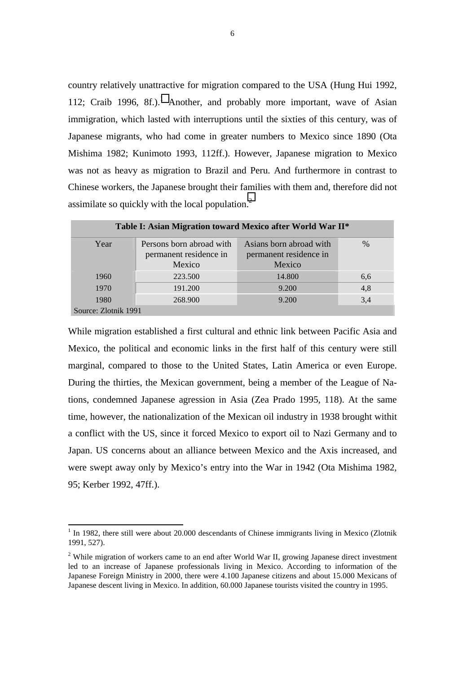country relatively unattractive for migration compared to the USA (Hung Hui 1992, 112; Craib 1996, 8f.).<sup>1</sup> Another, and probably more important, wave of Asian immigration, which lasted with interruptions until the sixties of this century, was of Japanese migrants, who had come in greater numbers to Mexico since 1890 (Ota Mishima 1982; Kunimoto 1993, 112ff.). However, Japanese migration to Mexico was not as heavy as migration to Brazil and Peru. And furthermore in contrast to Chinese workers, the Japanese brought their families with them and, therefore did not assimilate so quickly with the local population. $<sup>2</sup>$ </sup>

| Table I: Asian Migration toward Mexico after World War II* |                                                              |                                                             |               |  |  |  |  |
|------------------------------------------------------------|--------------------------------------------------------------|-------------------------------------------------------------|---------------|--|--|--|--|
| Year                                                       | Persons born abroad with<br>permanent residence in<br>Mexico | Asians born abroad with<br>permanent residence in<br>Mexico | $\frac{0}{0}$ |  |  |  |  |
| 1960                                                       | 223.500                                                      | 14.800                                                      | 6,6           |  |  |  |  |
| 1970                                                       | 191.200                                                      | 9.200                                                       | 4,8           |  |  |  |  |
| 1980                                                       | 268.900                                                      | 9.200                                                       | 3,4           |  |  |  |  |
| Source: Zlotnik 1991                                       |                                                              |                                                             |               |  |  |  |  |

While migration established a first cultural and ethnic link between Pacific Asia and Mexico, the political and economic links in the first half of this century were still marginal, compared to those to the United States, Latin America or even Europe. During the thirties, the Mexican government, being a member of the League of Nations, condemned Japanese agression in Asia (Zea Prado 1995, 118). At the same time, however, the nationalization of the Mexican oil industry in 1938 brought withit a conflict with the US, since it forced Mexico to export oil to Nazi Germany and to Japan. US concerns about an alliance between Mexico and the Axis increased, and were swept away only by Mexico's entry into the War in 1942 (Ota Mishima 1982, 95; Kerber 1992, 47ff.).

<sup>&</sup>lt;sup>1</sup> In 1982, there still were about 20.000 descendants of Chinese immigrants living in Mexico (Zlotnik 1991, 527).

<sup>&</sup>lt;sup>2</sup> While migration of workers came to an end after World War II, growing Japanese direct investment led to an increase of Japanese professionals living in Mexico. According to information of the Japanese Foreign Ministry in 2000, there were 4.100 Japanese citizens and about 15.000 Mexicans of Japanese descent living in Mexico. In addition, 60.000 Japanese tourists visited the country in 1995.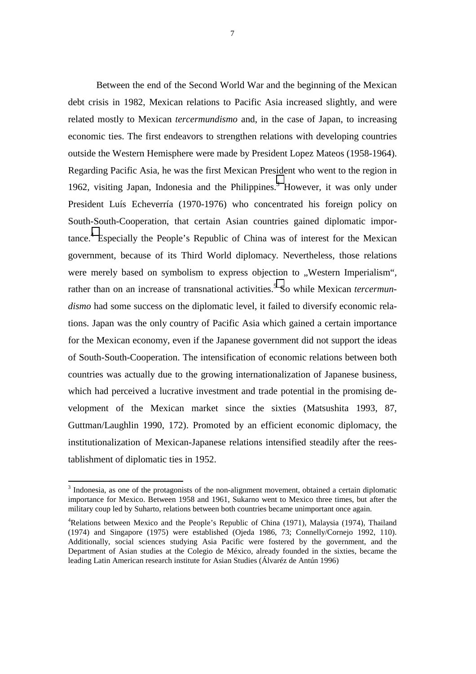Between the end of the Second World War and the beginning of the Mexican debt crisis in 1982, Mexican relations to Pacific Asia increased slightly, and were related mostly to Mexican *tercermundismo* and, in the case of Japan, to increasing economic ties. The first endeavors to strengthen relations with developing countries outside the Western Hemisphere were made by President Lopez Mateos (1958-1964). Regarding Pacific Asia, he was the first Mexican President who went to the region in 1962, visiting Japan, Indonesia and the Philippines. $3$  However, it was only under President Luís Echeverría (1970-1976) who concentrated his foreign policy on South-South-Cooperation, that certain Asian countries gained diplomatic importance.<sup>4</sup> Especially the People's Republic of China was of interest for the Mexican government, because of its Third World diplomacy. Nevertheless, those relations were merely based on symbolism to express objection to "Western Imperialism", rather than on an increase of transnational activities.<sup>5</sup> So while Mexican *tercermundismo* had some success on the diplomatic level, it failed to diversify economic relations. Japan was the only country of Pacific Asia which gained a certain importance for the Mexican economy, even if the Japanese government did not support the ideas of South-South-Cooperation. The intensification of economic relations between both countries was actually due to the growing internationalization of Japanese business, which had perceived a lucrative investment and trade potential in the promising development of the Mexican market since the sixties (Matsushita 1993, 87, Guttman/Laughlin 1990, 172). Promoted by an efficient economic diplomacy, the institutionalization of Mexican-Japanese relations intensified steadily after the reestablishment of diplomatic ties in 1952.

ı

 $3$  Indonesia, as one of the protagonists of the non-alignment movement, obtained a certain diplomatic importance for Mexico. Between 1958 and 1961, Sukarno went to Mexico three times, but after the military coup led by Suharto, relations between both countries became unimportant once again.

<sup>&</sup>lt;sup>4</sup>Relations between Mexico and the People's Republic of China (1971), Malaysia (1974), Thailand (1974) and Singapore (1975) were established (Ojeda 1986, 73; Connelly/Cornejo 1992, 110). Additionally, social sciences studying Asia Pacific were fostered by the government, and the Department of Asian studies at the Colegio de México, already founded in the sixties, became the leading Latin American research institute for Asian Studies (Álvaréz de Antún 1996)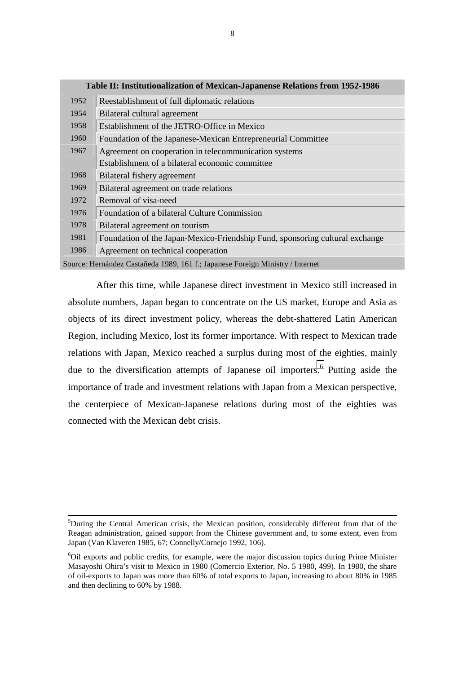|      | Table II: Institutionalization of Mexican-Japanense Relations from 1952-1986   |
|------|--------------------------------------------------------------------------------|
| 1952 | Reestablishment of full diplomatic relations                                   |
| 1954 | Bilateral cultural agreement                                                   |
| 1958 | Establishment of the JETRO-Office in Mexico                                    |
| 1960 | Foundation of the Japanese-Mexican Entrepreneurial Committee                   |
| 1967 | Agreement on cooperation in telecommunication systems                          |
|      | Establishment of a bilateral economic committee                                |
| 1968 | Bilateral fishery agreement                                                    |
| 1969 | Bilateral agreement on trade relations                                         |
| 1972 | Removal of visa-need                                                           |
| 1976 | Foundation of a bilateral Culture Commission                                   |
| 1978 | Bilateral agreement on tourism                                                 |
| 1981 | Foundation of the Japan-Mexico-Friendship Fund, sponsoring cultural exchange   |
| 1986 | Agreement on technical cooperation                                             |
|      | Source: Hernández Castañeda 1989, 161 f.; Japanese Foreign Ministry / Internet |

After this time, while Japanese direct investment in Mexico still increased in absolute numbers, Japan began to concentrate on the US market, Europe and Asia as objects of its direct investment policy, whereas the debt-shattered Latin American Region, including Mexico, lost its former importance. With respect to Mexican trade relations with Japan, Mexico reached a surplus during most of the eighties, mainly due to the diversification attempts of Japanese oil importers.<sup>6</sup> Putting aside the importance of trade and investment relations with Japan from a Mexican perspective, the centerpiece of Mexican-Japanese relations during most of the eighties was connected with the Mexican debt crisis.

j

<sup>&</sup>lt;sup>5</sup>During the Central American crisis, the Mexican position, considerably different from that of the Reagan administration, gained support from the Chinese government and, to some extent, even from Japan (Van Klaveren 1985, 67; Connelly/Cornejo 1992, 106).

<sup>&</sup>lt;sup>6</sup>Oil exports and public credits, for example, were the major discussion topics during Prime Minister Masayoshi Ohira's visit to Mexico in 1980 (Comercio Exterior, No. 5 1980, 499). In 1980, the share of oil-exports to Japan was more than 60% of total exports to Japan, increasing to about 80% in 1985 and then declining to 60% by 1988.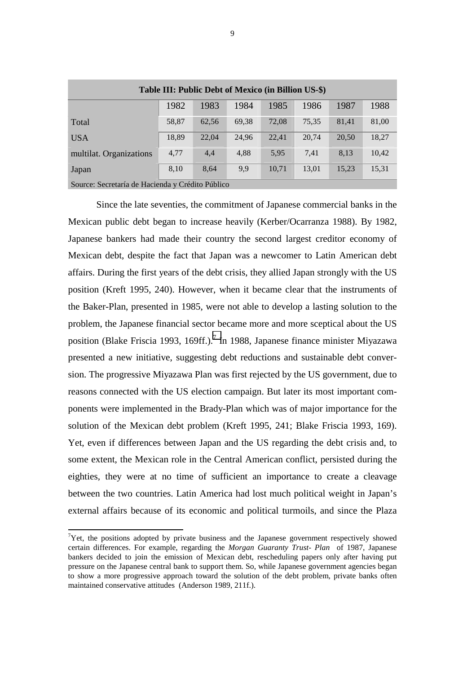| Table III: Public Debt of Mexico (in Billion US-\$) |                                                      |       |       |       |       |       |       |  |  |  |  |
|-----------------------------------------------------|------------------------------------------------------|-------|-------|-------|-------|-------|-------|--|--|--|--|
|                                                     | 1988<br>1982<br>1983<br>1984<br>1985<br>1987<br>1986 |       |       |       |       |       |       |  |  |  |  |
| Total                                               | 58,87                                                | 62,56 | 69,38 | 72,08 | 75,35 | 81,41 | 81,00 |  |  |  |  |
| <b>USA</b>                                          | 18,89                                                | 22.04 | 24,96 | 22,41 | 20,74 | 20,50 | 18,27 |  |  |  |  |
| multilat. Organizations                             | 4,77                                                 | 4,4   | 4,88  | 5,95  | 7,41  | 8,13  | 10,42 |  |  |  |  |
| Japan                                               | 8,10                                                 | 8,64  | 9,9   | 10,71 | 13,01 | 15,23 | 15,31 |  |  |  |  |

Source: Secretaría de Hacienda y Crédito Público

Since the late seventies, the commitment of Japanese commercial banks in the Mexican public debt began to increase heavily (Kerber/Ocarranza 1988). By 1982, Japanese bankers had made their country the second largest creditor economy of Mexican debt, despite the fact that Japan was a newcomer to Latin American debt affairs. During the first years of the debt crisis, they allied Japan strongly with the US position (Kreft 1995, 240). However, when it became clear that the instruments of the Baker-Plan, presented in 1985, were not able to develop a lasting solution to the problem, the Japanese financial sector became more and more sceptical about the US position (Blake Friscia 1993, 169ff.).<sup>7</sup> In 1988, Japanese finance minister Miyazawa presented a new initiative, suggesting debt reductions and sustainable debt conversion. The progressive Miyazawa Plan was first rejected by the US government, due to reasons connected with the US election campaign. But later its most important components were implemented in the Brady-Plan which was of major importance for the solution of the Mexican debt problem (Kreft 1995, 241; Blake Friscia 1993, 169). Yet, even if differences between Japan and the US regarding the debt crisis and, to some extent, the Mexican role in the Central American conflict, persisted during the eighties, they were at no time of sufficient an importance to create a cleavage between the two countries. Latin America had lost much political weight in Japan's external affairs because of its economic and political turmoils, and since the Plaza

 $7$ Yet, the positions adopted by private business and the Japanese government respectively showed certain differences. For example, regarding the *Morgan Guaranty Trust*- *Plan* of 1987, Japanese bankers decided to join the emission of Mexican debt, rescheduling papers only after having put pressure on the Japanese central bank to support them. So, while Japanese government agencies began to show a more progressive approach toward the solution of the debt problem, private banks often maintained conservative attitudes (Anderson 1989, 211f.).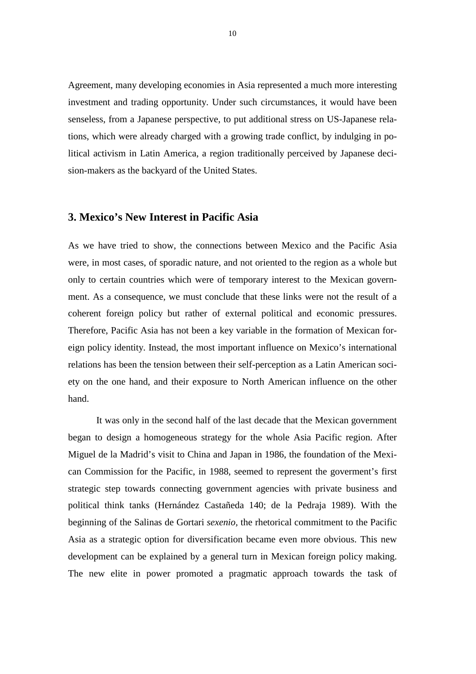Agreement, many developing economies in Asia represented a much more interesting investment and trading opportunity. Under such circumstances, it would have been senseless, from a Japanese perspective, to put additional stress on US-Japanese relations, which were already charged with a growing trade conflict, by indulging in political activism in Latin America, a region traditionally perceived by Japanese decision-makers as the backyard of the United States.

#### **3. Mexico's New Interest in Pacific Asia**

As we have tried to show, the connections between Mexico and the Pacific Asia were, in most cases, of sporadic nature, and not oriented to the region as a whole but only to certain countries which were of temporary interest to the Mexican government. As a consequence, we must conclude that these links were not the result of a coherent foreign policy but rather of external political and economic pressures. Therefore, Pacific Asia has not been a key variable in the formation of Mexican foreign policy identity. Instead, the most important influence on Mexico's international relations has been the tension between their self-perception as a Latin American society on the one hand, and their exposure to North American influence on the other hand.

It was only in the second half of the last decade that the Mexican government began to design a homogeneous strategy for the whole Asia Pacific region. After Miguel de la Madrid's visit to China and Japan in 1986, the foundation of the Mexican Commission for the Pacific, in 1988, seemed to represent the goverment's first strategic step towards connecting government agencies with private business and political think tanks (Hernández Castañeda 140; de la Pedraja 1989). With the beginning of the Salinas de Gortari *sexenio,* the rhetorical commitment to the Pacific Asia as a strategic option for diversification became even more obvious. This new development can be explained by a general turn in Mexican foreign policy making. The new elite in power promoted a pragmatic approach towards the task of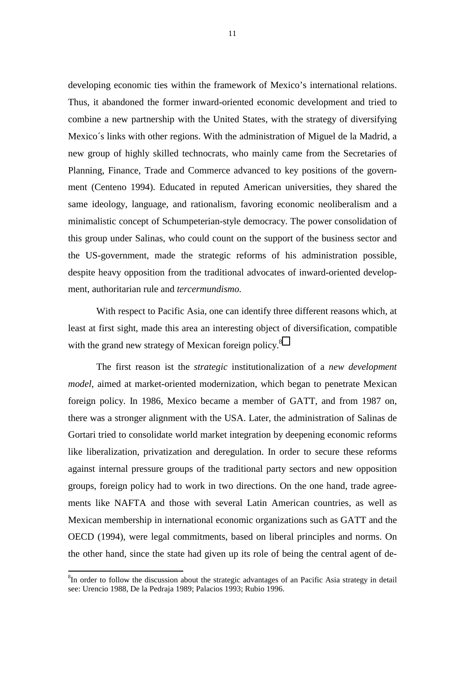developing economic ties within the framework of Mexico's international relations. Thus, it abandoned the former inward-oriented economic development and tried to combine a new partnership with the United States, with the strategy of diversifying Mexico´s links with other regions. With the administration of Miguel de la Madrid, a new group of highly skilled technocrats, who mainly came from the Secretaries of Planning, Finance, Trade and Commerce advanced to key positions of the government (Centeno 1994). Educated in reputed American universities, they shared the same ideology, language, and rationalism, favoring economic neoliberalism and a minimalistic concept of Schumpeterian-style democracy. The power consolidation of this group under Salinas, who could count on the support of the business sector and the US-government, made the strategic reforms of his administration possible, despite heavy opposition from the traditional advocates of inward-oriented development, authoritarian rule and *tercermundismo.*

With respect to Pacific Asia, one can identify three different reasons which, at least at first sight, made this area an interesting object of diversification, compatible with the grand new strategy of Mexican foreign policy.<sup>8</sup>

The first reason ist the *strategic* institutionalization of a *new development model*, aimed at market-oriented modernization, which began to penetrate Mexican foreign policy. In 1986, Mexico became a member of GATT, and from 1987 on, there was a stronger alignment with the USA. Later, the administration of Salinas de Gortari tried to consolidate world market integration by deepening economic reforms like liberalization, privatization and deregulation. In order to secure these reforms against internal pressure groups of the traditional party sectors and new opposition groups, foreign policy had to work in two directions. On the one hand, trade agreements like NAFTA and those with several Latin American countries, as well as Mexican membership in international economic organizations such as GATT and the OECD (1994), were legal commitments, based on liberal principles and norms. On the other hand, since the state had given up its role of being the central agent of de-

j

 ${}^{8}$ In order to follow the discussion about the strategic advantages of an Pacific Asia strategy in detail see: Urencio 1988, De la Pedraja 1989; Palacios 1993; Rubio 1996.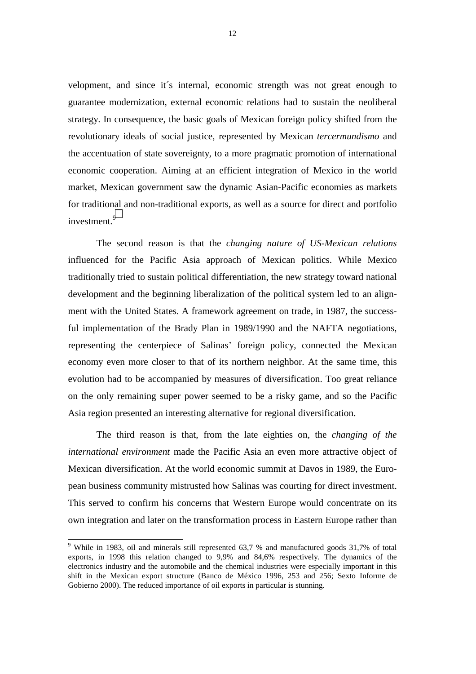velopment, and since it´s internal, economic strength was not great enough to guarantee modernization, external economic relations had to sustain the neoliberal strategy. In consequence, the basic goals of Mexican foreign policy shifted from the revolutionary ideals of social justice, represented by Mexican *tercermundismo* and the accentuation of state sovereignty, to a more pragmatic promotion of international economic cooperation. Aiming at an efficient integration of Mexico in the world market, Mexican government saw the dynamic Asian-Pacific economies as markets for traditional and non-traditional exports, as well as a source for direct and portfolio investment.<sup>9</sup>

The second reason is that the *changing nature of US-Mexican relations* influenced for the Pacific Asia approach of Mexican politics. While Mexico traditionally tried to sustain political differentiation, the new strategy toward national development and the beginning liberalization of the political system led to an alignment with the United States. A framework agreement on trade, in 1987, the successful implementation of the Brady Plan in 1989/1990 and the NAFTA negotiations, representing the centerpiece of Salinas' foreign policy, connected the Mexican economy even more closer to that of its northern neighbor. At the same time, this evolution had to be accompanied by measures of diversification. Too great reliance on the only remaining super power seemed to be a risky game, and so the Pacific Asia region presented an interesting alternative for regional diversification.

The third reason is that, from the late eighties on, the *changing of the international environment* made the Pacific Asia an even more attractive object of Mexican diversification. At the world economic summit at Davos in 1989, the European business community mistrusted how Salinas was courting for direct investment. This served to confirm his concerns that Western Europe would concentrate on its own integration and later on the transformation process in Eastern Europe rather than

ı

<sup>&</sup>lt;sup>9</sup> While in 1983, oil and minerals still represented 63,7 % and manufactured goods 31,7% of total exports, in 1998 this relation changed to 9,9% and 84,6% respectively. The dynamics of the electronics industry and the automobile and the chemical industries were especially important in this shift in the Mexican export structure (Banco de México 1996, 253 and 256; Sexto Informe de Gobierno 2000). The reduced importance of oil exports in particular is stunning.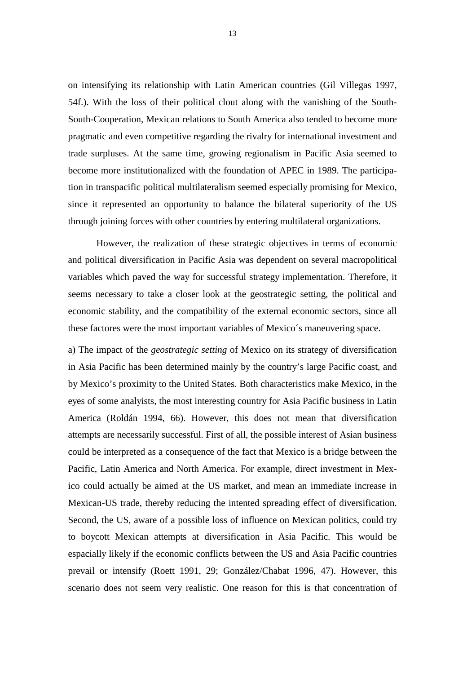on intensifying its relationship with Latin American countries (Gil Villegas 1997, 54f.). With the loss of their political clout along with the vanishing of the South-South-Cooperation, Mexican relations to South America also tended to become more pragmatic and even competitive regarding the rivalry for international investment and trade surpluses. At the same time, growing regionalism in Pacific Asia seemed to become more institutionalized with the foundation of APEC in 1989. The participation in transpacific political multilateralism seemed especially promising for Mexico, since it represented an opportunity to balance the bilateral superiority of the US through joining forces with other countries by entering multilateral organizations.

However, the realization of these strategic objectives in terms of economic and political diversification in Pacific Asia was dependent on several macropolitical variables which paved the way for successful strategy implementation. Therefore, it seems necessary to take a closer look at the geostrategic setting, the political and economic stability, and the compatibility of the external economic sectors, since all these factores were the most important variables of Mexico´s maneuvering space.

a) The impact of the *geostrategic setting* of Mexico on its strategy of diversification in Asia Pacific has been determined mainly by the country's large Pacific coast, and by Mexico's proximity to the United States. Both characteristics make Mexico, in the eyes of some analyists, the most interesting country for Asia Pacific business in Latin America (Roldán 1994, 66). However, this does not mean that diversification attempts are necessarily successful. First of all, the possible interest of Asian business could be interpreted as a consequence of the fact that Mexico is a bridge between the Pacific, Latin America and North America. For example, direct investment in Mexico could actually be aimed at the US market, and mean an immediate increase in Mexican-US trade, thereby reducing the intented spreading effect of diversification. Second, the US, aware of a possible loss of influence on Mexican politics, could try to boycott Mexican attempts at diversification in Asia Pacific. This would be espacially likely if the economic conflicts between the US and Asia Pacific countries prevail or intensify (Roett 1991, 29; González/Chabat 1996, 47). However, this scenario does not seem very realistic. One reason for this is that concentration of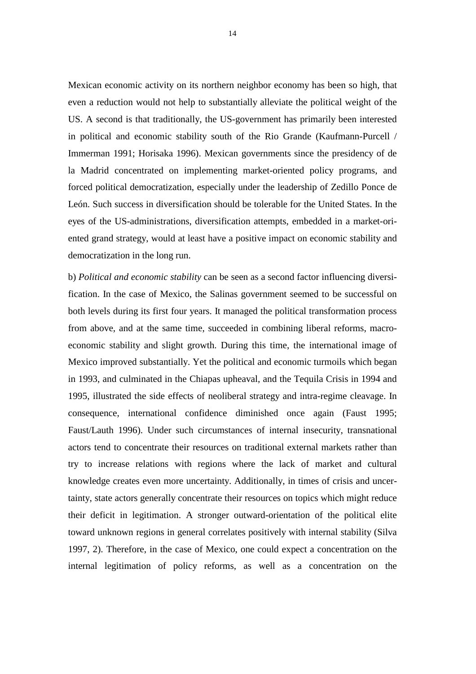Mexican economic activity on its northern neighbor economy has been so high, that even a reduction would not help to substantially alleviate the political weight of the US. A second is that traditionally, the US-government has primarily been interested in political and economic stability south of the Rio Grande (Kaufmann-Purcell / Immerman 1991; Horisaka 1996). Mexican governments since the presidency of de la Madrid concentrated on implementing market-oriented policy programs, and forced political democratization, especially under the leadership of Zedillo Ponce de León. Such success in diversification should be tolerable for the United States. In the eyes of the US-administrations, diversification attempts, embedded in a market-oriented grand strategy, would at least have a positive impact on economic stability and democratization in the long run.

b) *Political and economic stability* can be seen as a second factor influencing diversification. In the case of Mexico, the Salinas government seemed to be successful on both levels during its first four years. It managed the political transformation process from above, and at the same time, succeeded in combining liberal reforms, macroeconomic stability and slight growth. During this time, the international image of Mexico improved substantially. Yet the political and economic turmoils which began in 1993, and culminated in the Chiapas upheaval, and the Tequila Crisis in 1994 and 1995, illustrated the side effects of neoliberal strategy and intra-regime cleavage. In consequence, international confidence diminished once again (Faust 1995; Faust/Lauth 1996). Under such circumstances of internal insecurity, transnational actors tend to concentrate their resources on traditional external markets rather than try to increase relations with regions where the lack of market and cultural knowledge creates even more uncertainty. Additionally, in times of crisis and uncertainty, state actors generally concentrate their resources on topics which might reduce their deficit in legitimation. A stronger outward-orientation of the political elite toward unknown regions in general correlates positively with internal stability (Silva 1997, 2). Therefore, in the case of Mexico, one could expect a concentration on the internal legitimation of policy reforms, as well as a concentration on the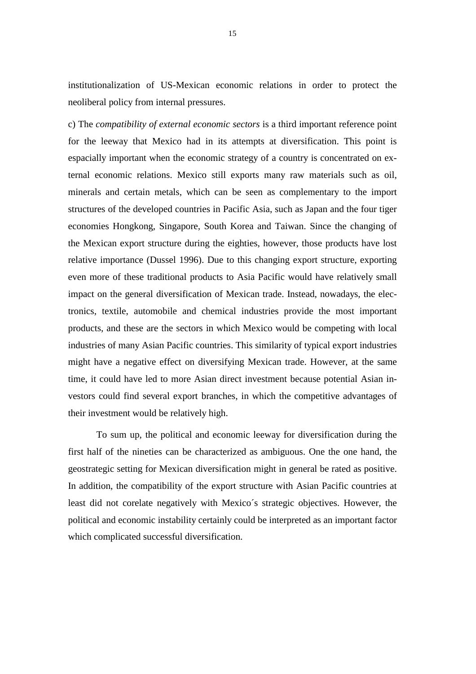institutionalization of US-Mexican economic relations in order to protect the neoliberal policy from internal pressures.

c) The *compatibility of external economic sectors* is a third important reference point for the leeway that Mexico had in its attempts at diversification. This point is espacially important when the economic strategy of a country is concentrated on external economic relations. Mexico still exports many raw materials such as oil, minerals and certain metals, which can be seen as complementary to the import structures of the developed countries in Pacific Asia, such as Japan and the four tiger economies Hongkong, Singapore, South Korea and Taiwan. Since the changing of the Mexican export structure during the eighties, however, those products have lost relative importance (Dussel 1996). Due to this changing export structure, exporting even more of these traditional products to Asia Pacific would have relatively small impact on the general diversification of Mexican trade. Instead, nowadays, the electronics, textile, automobile and chemical industries provide the most important products, and these are the sectors in which Mexico would be competing with local industries of many Asian Pacific countries. This similarity of typical export industries might have a negative effect on diversifying Mexican trade. However, at the same time, it could have led to more Asian direct investment because potential Asian investors could find several export branches, in which the competitive advantages of their investment would be relatively high.

To sum up, the political and economic leeway for diversification during the first half of the nineties can be characterized as ambiguous. One the one hand, the geostrategic setting for Mexican diversification might in general be rated as positive. In addition, the compatibility of the export structure with Asian Pacific countries at least did not corelate negatively with Mexico´s strategic objectives. However, the political and economic instability certainly could be interpreted as an important factor which complicated successful diversification.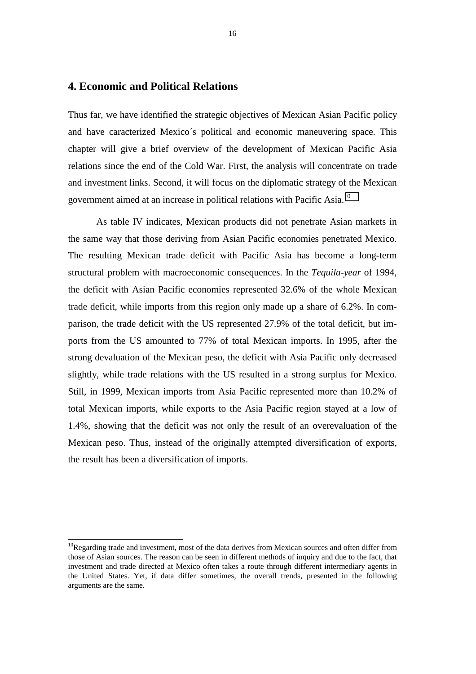#### **4. Economic and Political Relations**

Thus far, we have identified the strategic objectives of Mexican Asian Pacific policy and have caracterized Mexico´s political and economic maneuvering space. This chapter will give a brief overview of the development of Mexican Pacific Asia relations since the end of the Cold War. First, the analysis will concentrate on trade and investment links. Second, it will focus on the diplomatic strategy of the Mexican government aimed at an increase in political relations with Pacific Asia.10

As table IV indicates, Mexican products did not penetrate Asian markets in the same way that those deriving from Asian Pacific economies penetrated Mexico. The resulting Mexican trade deficit with Pacific Asia has become a long-term structural problem with macroeconomic consequences. In the *Tequila-year* of 1994, the deficit with Asian Pacific economies represented 32.6% of the whole Mexican trade deficit, while imports from this region only made up a share of 6.2%. In comparison, the trade deficit with the US represented 27.9% of the total deficit, but imports from the US amounted to 77% of total Mexican imports. In 1995, after the strong devaluation of the Mexican peso, the deficit with Asia Pacific only decreased slightly, while trade relations with the US resulted in a strong surplus for Mexico. Still, in 1999, Mexican imports from Asia Pacific represented more than 10.2% of total Mexican imports, while exports to the Asia Pacific region stayed at a low of 1.4%, showing that the deficit was not only the result of an overevaluation of the Mexican peso. Thus, instead of the originally attempted diversification of exports, the result has been a diversification of imports.

ı

 $10$ Regarding trade and investment, most of the data derives from Mexican sources and often differ from those of Asian sources. The reason can be seen in different methods of inquiry and due to the fact, that investment and trade directed at Mexico often takes a route through different intermediary agents in the United States. Yet, if data differ sometimes, the overall trends, presented in the following arguments are the same.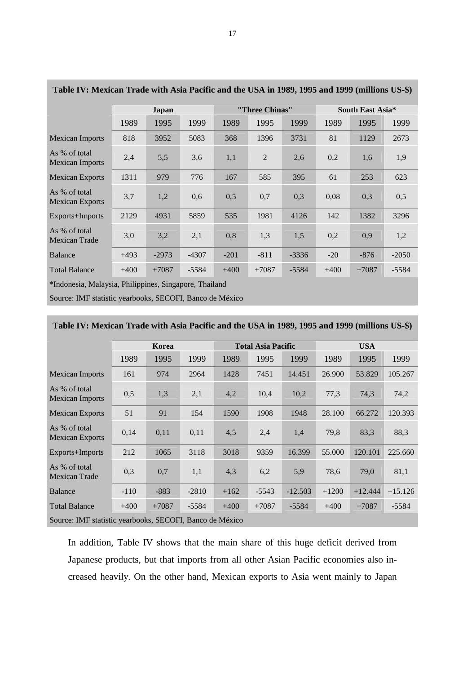| Table IV: Mexican Trade with Asia Pacific and the USA in 1989, 1995 and 1999 (millions US-\$) |        |         |         |                |         |         |                  |         |         |
|-----------------------------------------------------------------------------------------------|--------|---------|---------|----------------|---------|---------|------------------|---------|---------|
|                                                                                               | Japan  |         |         | "Three Chinas" |         |         | South East Asia* |         |         |
|                                                                                               | 1989   | 1995    | 1999    | 1989           | 1995    | 1999    | 1989             | 1995    | 1999    |
| <b>Mexican Imports</b>                                                                        | 818    | 3952    | 5083    | 368            | 1396    | 3731    | 81               | 1129    | 2673    |
| As % of total<br><b>Mexican Imports</b>                                                       | 2,4    | 5,5     | 3,6     | 1,1            | 2       | 2,6     | 0,2              | 1,6     | 1,9     |
| <b>Mexican Exports</b>                                                                        | 1311   | 979     | 776     | 167            | 585     | 395     | 61               | 253     | 623     |
| As % of total<br><b>Mexican Exports</b>                                                       | 3,7    | 1,2     | 0,6     | 0,5            | 0,7     | 0,3     | 0,08             | 0,3     | 0,5     |
| Exports+Imports                                                                               | 2129   | 4931    | 5859    | 535            | 1981    | 4126    | 142              | 1382    | 3296    |
| As % of total<br>Mexican Trade                                                                | 3,0    | 3,2     | 2,1     | 0,8            | 1,3     | 1,5     | 0,2              | 0,9     | 1,2     |
| <b>Balance</b>                                                                                | $+493$ | $-2973$ | $-4307$ | $-201$         | $-811$  | $-3336$ | $-20$            | $-876$  | $-2050$ |
| <b>Total Balance</b>                                                                          | $+400$ | $+7087$ | $-5584$ | $+400$         | $+7087$ | $-5584$ | $+400$           | $+7087$ | $-5584$ |
| *Indonesia Malaysia Philippines Singapora Theiland                                            |        |         |         |                |         |         |                  |         |         |

| Table IV: Mexican Trade with Asia Pacific and the USA in 1989, 1995 and 1999 (millions US-\$) |  |  |  |
|-----------------------------------------------------------------------------------------------|--|--|--|
|                                                                                               |  |  |  |

Indonesia, Malaysia, Philippines, Singapore, Thailand

Source: IMF statistic yearbooks, SECOFI, Banco de México

### **Korea 1988 Total Asia Pacific 1988 USA** 1989 1995 1999 1989 1995 1999 1989 1995 1999 Mexican Imports 161 974 2964 1428 7451 14.451 26.900 53.829 105.267 As % of total As % of total 0,5 1,3 2,1 4,2 10,4 10,2 77,3 74,3 74,2<br>Mexican Imports 0,5 1,3 2,1 4,2 10,4 10,2 77,3 74,3 74,2 Mexican Exports 51 91 154 1590 1908 1948 28.100 66.272 120.393 As % of total As you total 0,14 0,11 0,11 4,5 2,4 1,4 79,8 83,3 88,3 Exports+Imports 212 1065 3118 3018 9359 16.399 55.000 120.101 225.660 As % of total Mexican Trade 0,3 0,7 1,1 4,3 6,2 5,9 78,6 79,0 81,1 Balance 110 -883 -2810 +162 -5543 -12.503 +1200 +12.444 +15.126 Total Balance +400 +7087 -5584 +400 +7087 -5584 +400 +7087 -5584 Source: IMF statistic yearbooks, SECOFI, Banco de México

#### **Table IV: Mexican Trade with Asia Pacific and the USA in 1989, 1995 and 1999 (millions US-\$)**

In addition, Table IV shows that the main share of this huge deficit derived from Japanese products, but that imports from all other Asian Pacific economies also increased heavily. On the other hand, Mexican exports to Asia went mainly to Japan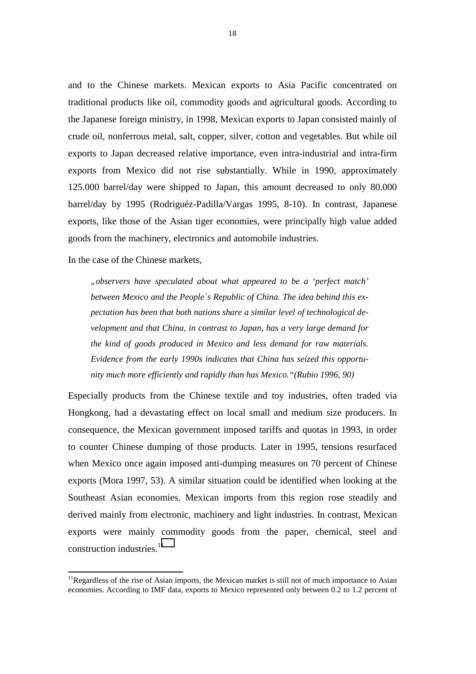and to the Chinese markets. Mexican exports to Asia Pacific concentrated on traditional products like oil, commodity goods and agricultural goods. According to the Japanese foreign ministry, in 1998, Mexican exports to Japan consisted mainly of crude oil, nonferrous metal, salt, copper, silver, cotton and vegetables. But while oil exports to Japan decreased relative importance, even intra-industrial and intra-firm exports from Mexico did not rise substantially. While in 1990, approximately 125.000 barrel/day were shipped to Japan, this amount decreased to only 80.000 barrel/day by 1995 (Rodriguéz-Padilla/Vargas 1995, 8-10). In contrast, Japanese exports, like those of the Asian tiger economies, were principally high value added goods from the machinery, electronics and automobile industries.

In the case of the Chinese markets,

j

*"observers have speculated about what appeared to be a 'perfect match' between Mexico and the People`s Republic of China. The idea behind this expectation has been that both nations share a similar level of technological development and that China, in contrast to Japan, has a very large demand for the kind of goods produced in Mexico and less demand for raw materials. Evidence from the early 1990s indicates that China has seized this opportunity much more efficiently and rapidly than has Mexico."(Rubio 1996, 90)* 

Especially products from the Chinese textile and toy industries, often traded via Hongkong, had a devastating effect on local small and medium size producers. In consequence, the Mexican government imposed tariffs and quotas in 1993, in order to counter Chinese dumping of those products. Later in 1995, tensions resurfaced when Mexico once again imposed anti-dumping measures on 70 percent of Chinese exports (Mora 1997, 53). A similar situation could be identified when looking at the Southeast Asian economies. Mexican imports from this region rose steadily and derived mainly from electronic, machinery and light industries. In contrast, Mexican exports were mainly commodity goods from the paper, chemical, steel and construction industries.<sup>11</sup>

<sup>&</sup>lt;sup>11</sup>Regardless of the rise of Asian imports, the Mexican market is still not of much importance to Asian economies. According to IMF data, exports to Mexico represented only between 0.2 to 1.2 percent of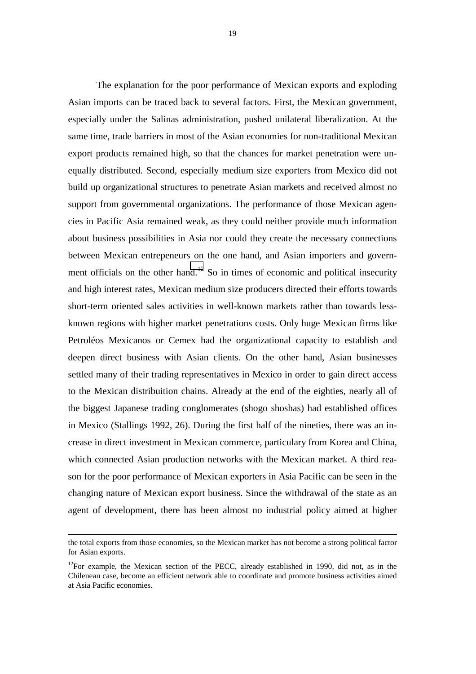The explanation for the poor performance of Mexican exports and exploding Asian imports can be traced back to several factors. First, the Mexican government, especially under the Salinas administration, pushed unilateral liberalization. At the same time, trade barriers in most of the Asian economies for non-traditional Mexican export products remained high, so that the chances for market penetration were unequally distributed. Second, especially medium size exporters from Mexico did not build up organizational structures to penetrate Asian markets and received almost no support from governmental organizations. The performance of those Mexican agencies in Pacific Asia remained weak, as they could neither provide much information about business possibilities in Asia nor could they create the necessary connections between Mexican entrepeneurs on the one hand, and Asian importers and government officials on the other hand.<sup>12</sup> So in times of economic and political insecurity and high interest rates, Mexican medium size producers directed their efforts towards short-term oriented sales activities in well-known markets rather than towards lessknown regions with higher market penetrations costs. Only huge Mexican firms like Petroléos Mexicanos or Cemex had the organizational capacity to establish and deepen direct business with Asian clients. On the other hand, Asian businesses settled many of their trading representatives in Mexico in order to gain direct access to the Mexican distribuition chains. Already at the end of the eighties, nearly all of the biggest Japanese trading conglomerates (shogo shoshas) had established offices in Mexico (Stallings 1992, 26). During the first half of the nineties, there was an increase in direct investment in Mexican commerce, particulary from Korea and China, which connected Asian production networks with the Mexican market. A third reason for the poor performance of Mexican exporters in Asia Pacific can be seen in the changing nature of Mexican export business. Since the withdrawal of the state as an agent of development, there has been almost no industrial policy aimed at higher

ı

the total exports from those economies, so the Mexican market has not become a strong political factor for Asian exports.

<sup>&</sup>lt;sup>12</sup>For example, the Mexican section of the PECC, already established in 1990, did not, as in the Chilenean case, become an efficient network able to coordinate and promote business activities aimed at Asia Pacific economies.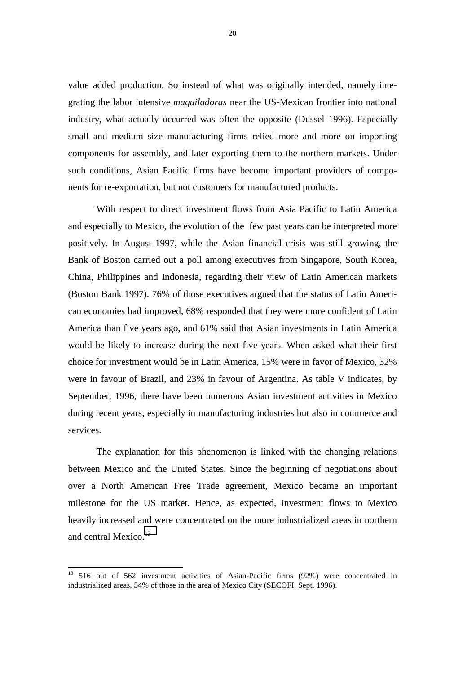value added production. So instead of what was originally intended, namely integrating the labor intensive *maquiladoras* near the US-Mexican frontier into national industry, what actually occurred was often the opposite (Dussel 1996). Especially small and medium size manufacturing firms relied more and more on importing components for assembly, and later exporting them to the northern markets. Under such conditions, Asian Pacific firms have become important providers of components for re-exportation, but not customers for manufactured products.

With respect to direct investment flows from Asia Pacific to Latin America and especially to Mexico, the evolution of the few past years can be interpreted more positively. In August 1997, while the Asian financial crisis was still growing, the Bank of Boston carried out a poll among executives from Singapore, South Korea, China, Philippines and Indonesia, regarding their view of Latin American markets (Boston Bank 1997). 76% of those executives argued that the status of Latin American economies had improved, 68% responded that they were more confident of Latin America than five years ago, and 61% said that Asian investments in Latin America would be likely to increase during the next five years. When asked what their first choice for investment would be in Latin America, 15% were in favor of Mexico, 32% were in favour of Brazil, and 23% in favour of Argentina. As table V indicates, by September, 1996, there have been numerous Asian investment activities in Mexico during recent years, especially in manufacturing industries but also in commerce and services.

The explanation for this phenomenon is linked with the changing relations between Mexico and the United States. Since the beginning of negotiations about over a North American Free Trade agreement, Mexico became an important milestone for the US market. Hence, as expected, investment flows to Mexico heavily increased and were concentrated on the more industrialized areas in northern and central Mexico.<sup>13</sup>

j

<sup>&</sup>lt;sup>13</sup> 516 out of 562 investment activities of Asian-Pacific firms (92%) were concentrated in industrialized areas, 54% of those in the area of Mexico City (SECOFI, Sept. 1996).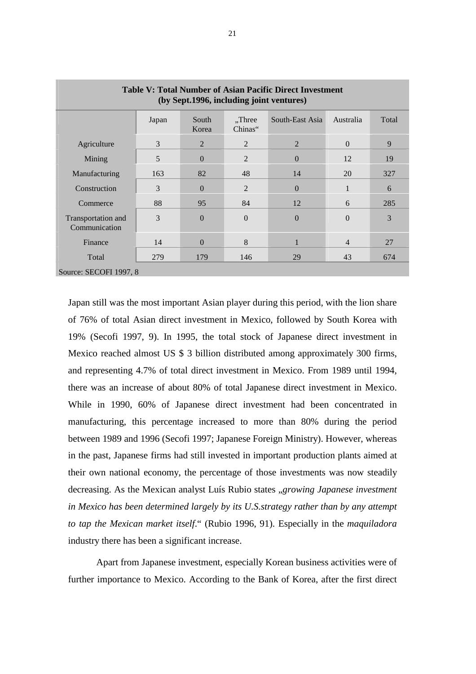| Table V: Total Number of Asian Pacific Direct Investment<br>(by Sept.1996, including joint ventures) |       |                |                      |                 |                |       |  |
|------------------------------------------------------------------------------------------------------|-------|----------------|----------------------|-----------------|----------------|-------|--|
|                                                                                                      | Japan | South<br>Korea | $,$ Three<br>Chinas" | South-East Asia | Australia      | Total |  |
| Agriculture                                                                                          | 3     | 2              | 2                    | $\overline{2}$  | $\theta$       | 9     |  |
| Mining                                                                                               | 5     | $\Omega$       | $\overline{2}$       | $\Omega$        | 12             | 19    |  |
| Manufacturing                                                                                        | 163   | 82             | 48                   | 14              | 20             | 327   |  |
| Construction                                                                                         | 3     | $\Omega$       | 2                    | $\Omega$        | $\mathbf{1}$   | 6     |  |
| Commerce                                                                                             | 88    | 95             | 84                   | 12              | 6              | 285   |  |
| Transportation and<br>Communication                                                                  | 3     | $\Omega$       | $\overline{0}$       | $\Omega$        | $\Omega$       | 3     |  |
| Finance                                                                                              | 14    | $\Omega$       | 8                    |                 | $\overline{4}$ | 27    |  |
| Total                                                                                                | 279   | 179            | 146                  | 29              | 43             | 674   |  |
| Source: SECOFI 1997, 8                                                                               |       |                |                      |                 |                |       |  |

Japan still was the most important Asian player during this period, with the lion share of 76% of total Asian direct investment in Mexico, followed by South Korea with 19% (Secofi 1997, 9). In 1995, the total stock of Japanese direct investment in Mexico reached almost US \$ 3 billion distributed among approximately 300 firms, and representing 4.7% of total direct investment in Mexico. From 1989 until 1994, there was an increase of about 80% of total Japanese direct investment in Mexico. While in 1990, 60% of Japanese direct investment had been concentrated in manufacturing, this percentage increased to more than 80% during the period between 1989 and 1996 (Secofi 1997; Japanese Foreign Ministry). However, whereas in the past, Japanese firms had still invested in important production plants aimed at their own national economy, the percentage of those investments was now steadily decreasing. As the Mexican analyst Luís Rubio states "*growing Japanese investment in Mexico has been determined largely by its U.S.strategy rather than by any attempt to tap the Mexican market itself*." (Rubio 1996, 91). Especially in the *maquiladora* industry there has been a significant increase.

Apart from Japanese investment, especially Korean business activities were of further importance to Mexico. According to the Bank of Korea, after the first direct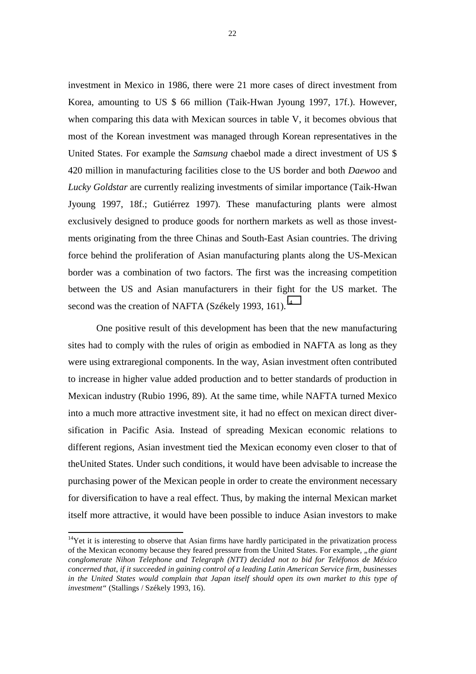investment in Mexico in 1986, there were 21 more cases of direct investment from Korea, amounting to US \$ 66 million (Taik-Hwan Jyoung 1997, 17f.). However, when comparing this data with Mexican sources in table V, it becomes obvious that most of the Korean investment was managed through Korean representatives in the United States. For example the *Samsung* chaebol made a direct investment of US \$ 420 million in manufacturing facilities close to the US border and both *Daewoo* and *Lucky Goldstar* are currently realizing investments of similar importance (Taik-Hwan Jyoung 1997, 18f.; Gutiérrez 1997). These manufacturing plants were almost exclusively designed to produce goods for northern markets as well as those investments originating from the three Chinas and South-East Asian countries. The driving force behind the proliferation of Asian manufacturing plants along the US-Mexican border was a combination of two factors. The first was the increasing competition between the US and Asian manufacturers in their fight for the US market. The second was the creation of NAFTA (Székely 1993, 161).<sup>14</sup>

One positive result of this development has been that the new manufacturing sites had to comply with the rules of origin as embodied in NAFTA as long as they were using extraregional components. In the way, Asian investment often contributed to increase in higher value added production and to better standards of production in Mexican industry (Rubio 1996, 89). At the same time, while NAFTA turned Mexico into a much more attractive investment site, it had no effect on mexican direct diversification in Pacific Asia. Instead of spreading Mexican economic relations to different regions, Asian investment tied the Mexican economy even closer to that of theUnited States. Under such conditions, it would have been advisable to increase the purchasing power of the Mexican people in order to create the environment necessary for diversification to have a real effect. Thus, by making the internal Mexican market itself more attractive, it would have been possible to induce Asian investors to make

ı

 $14$ Yet it is interesting to observe that Asian firms have hardly participated in the privatization process of the Mexican economy because they feared pressure from the United States. For example, *"the giant conglomerate Nihon Telephone and Telegraph (NTT) decided not to bid for Teléfonos de México concerned that, if it succeeded in gaining control of a leading Latin American Service firm, businesses in the United States would complain that Japan itself should open its own market to this type of investment"* (Stallings / Székely 1993, 16).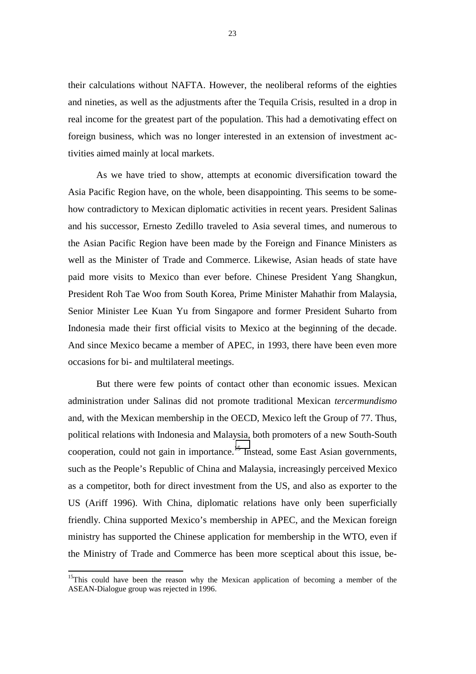their calculations without NAFTA. However, the neoliberal reforms of the eighties and nineties, as well as the adjustments after the Tequila Crisis, resulted in a drop in real income for the greatest part of the population. This had a demotivating effect on foreign business, which was no longer interested in an extension of investment activities aimed mainly at local markets.

As we have tried to show, attempts at economic diversification toward the Asia Pacific Region have, on the whole, been disappointing. This seems to be somehow contradictory to Mexican diplomatic activities in recent years. President Salinas and his successor, Ernesto Zedillo traveled to Asia several times, and numerous to the Asian Pacific Region have been made by the Foreign and Finance Ministers as well as the Minister of Trade and Commerce. Likewise, Asian heads of state have paid more visits to Mexico than ever before. Chinese President Yang Shangkun, President Roh Tae Woo from South Korea, Prime Minister Mahathir from Malaysia, Senior Minister Lee Kuan Yu from Singapore and former President Suharto from Indonesia made their first official visits to Mexico at the beginning of the decade. And since Mexico became a member of APEC, in 1993, there have been even more occasions for bi- and multilateral meetings.

But there were few points of contact other than economic issues. Mexican administration under Salinas did not promote traditional Mexican *tercermundismo* and, with the Mexican membership in the OECD, Mexico left the Group of 77. Thus, political relations with Indonesia and Malaysia, both promoters of a new South-South cooperation, could not gain in importance.<sup>15</sup> Instead, some East Asian governments, such as the People's Republic of China and Malaysia, increasingly perceived Mexico as a competitor, both for direct investment from the US, and also as exporter to the US (Ariff 1996). With China, diplomatic relations have only been superficially friendly. China supported Mexico's membership in APEC, and the Mexican foreign ministry has supported the Chinese application for membership in the WTO, even if the Ministry of Trade and Commerce has been more sceptical about this issue, be-

j

<sup>&</sup>lt;sup>15</sup>This could have been the reason why the Mexican application of becoming a member of the ASEAN-Dialogue group was rejected in 1996.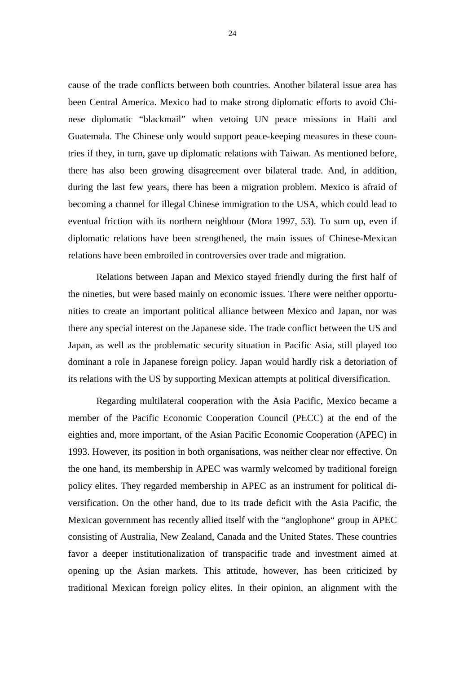cause of the trade conflicts between both countries. Another bilateral issue area has been Central America. Mexico had to make strong diplomatic efforts to avoid Chinese diplomatic "blackmail" when vetoing UN peace missions in Haiti and Guatemala. The Chinese only would support peace-keeping measures in these countries if they, in turn, gave up diplomatic relations with Taiwan. As mentioned before, there has also been growing disagreement over bilateral trade. And, in addition, during the last few years, there has been a migration problem. Mexico is afraid of becoming a channel for illegal Chinese immigration to the USA, which could lead to eventual friction with its northern neighbour (Mora 1997, 53). To sum up, even if diplomatic relations have been strengthened, the main issues of Chinese-Mexican relations have been embroiled in controversies over trade and migration.

Relations between Japan and Mexico stayed friendly during the first half of the nineties, but were based mainly on economic issues. There were neither opportunities to create an important political alliance between Mexico and Japan, nor was there any special interest on the Japanese side. The trade conflict between the US and Japan, as well as the problematic security situation in Pacific Asia, still played too dominant a role in Japanese foreign policy. Japan would hardly risk a detoriation of its relations with the US by supporting Mexican attempts at political diversification.

Regarding multilateral cooperation with the Asia Pacific, Mexico became a member of the Pacific Economic Cooperation Council (PECC) at the end of the eighties and, more important, of the Asian Pacific Economic Cooperation (APEC) in 1993. However, its position in both organisations, was neither clear nor effective. On the one hand, its membership in APEC was warmly welcomed by traditional foreign policy elites. They regarded membership in APEC as an instrument for political diversification. On the other hand, due to its trade deficit with the Asia Pacific, the Mexican government has recently allied itself with the "anglophone" group in APEC consisting of Australia, New Zealand, Canada and the United States. These countries favor a deeper institutionalization of transpacific trade and investment aimed at opening up the Asian markets. This attitude, however, has been criticized by traditional Mexican foreign policy elites. In their opinion, an alignment with the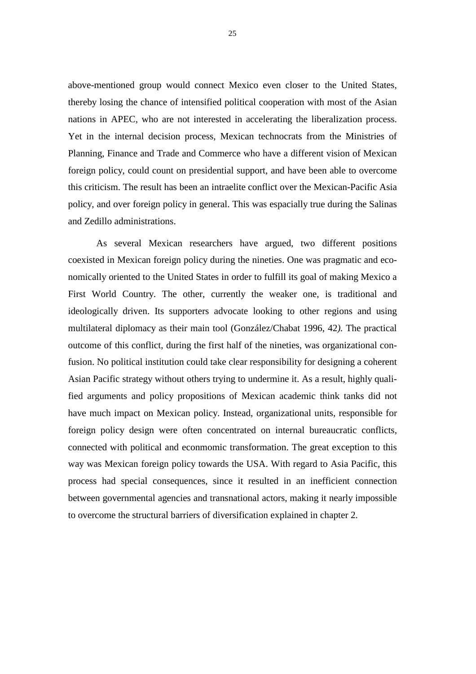above-mentioned group would connect Mexico even closer to the United States, thereby losing the chance of intensified political cooperation with most of the Asian nations in APEC, who are not interested in accelerating the liberalization process. Yet in the internal decision process, Mexican technocrats from the Ministries of Planning, Finance and Trade and Commerce who have a different vision of Mexican foreign policy, could count on presidential support, and have been able to overcome this criticism. The result has been an intraelite conflict over the Mexican-Pacific Asia policy, and over foreign policy in general. This was espacially true during the Salinas and Zedillo administrations.

As several Mexican researchers have argued, two different positions coexisted in Mexican foreign policy during the nineties. One was pragmatic and economically oriented to the United States in order to fulfill its goal of making Mexico a First World Country. The other, currently the weaker one, is traditional and ideologically driven. Its supporters advocate looking to other regions and using multilateral diplomacy as their main tool (González/Chabat 1996, 42*).* The practical outcome of this conflict, during the first half of the nineties, was organizational confusion. No political institution could take clear responsibility for designing a coherent Asian Pacific strategy without others trying to undermine it. As a result, highly qualified arguments and policy propositions of Mexican academic think tanks did not have much impact on Mexican policy. Instead, organizational units, responsible for foreign policy design were often concentrated on internal bureaucratic conflicts, connected with political and econmomic transformation. The great exception to this way was Mexican foreign policy towards the USA. With regard to Asia Pacific, this process had special consequences, since it resulted in an inefficient connection between governmental agencies and transnational actors, making it nearly impossible to overcome the structural barriers of diversification explained in chapter 2.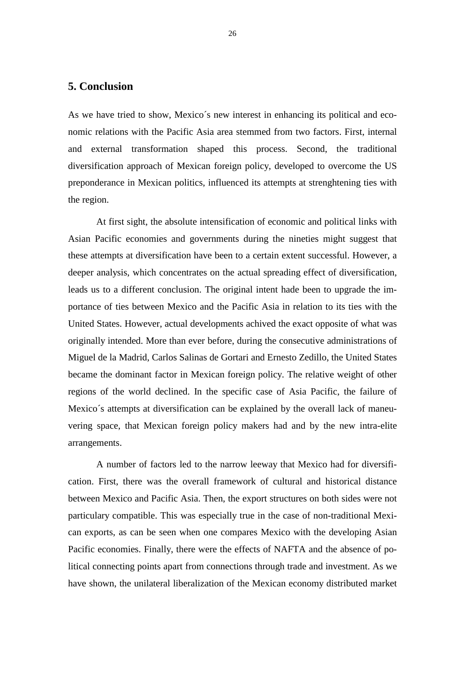#### **5. Conclusion**

As we have tried to show, Mexico´s new interest in enhancing its political and economic relations with the Pacific Asia area stemmed from two factors. First, internal and external transformation shaped this process. Second, the traditional diversification approach of Mexican foreign policy, developed to overcome the US preponderance in Mexican politics, influenced its attempts at strenghtening ties with the region.

At first sight, the absolute intensification of economic and political links with Asian Pacific economies and governments during the nineties might suggest that these attempts at diversification have been to a certain extent successful. However, a deeper analysis, which concentrates on the actual spreading effect of diversification, leads us to a different conclusion. The original intent hade been to upgrade the importance of ties between Mexico and the Pacific Asia in relation to its ties with the United States. However, actual developments achived the exact opposite of what was originally intended. More than ever before, during the consecutive administrations of Miguel de la Madrid, Carlos Salinas de Gortari and Ernesto Zedillo, the United States became the dominant factor in Mexican foreign policy. The relative weight of other regions of the world declined. In the specific case of Asia Pacific, the failure of Mexico´s attempts at diversification can be explained by the overall lack of maneuvering space, that Mexican foreign policy makers had and by the new intra-elite arrangements.

A number of factors led to the narrow leeway that Mexico had for diversification. First, there was the overall framework of cultural and historical distance between Mexico and Pacific Asia. Then, the export structures on both sides were not particulary compatible. This was especially true in the case of non-traditional Mexican exports, as can be seen when one compares Mexico with the developing Asian Pacific economies. Finally, there were the effects of NAFTA and the absence of political connecting points apart from connections through trade and investment. As we have shown, the unilateral liberalization of the Mexican economy distributed market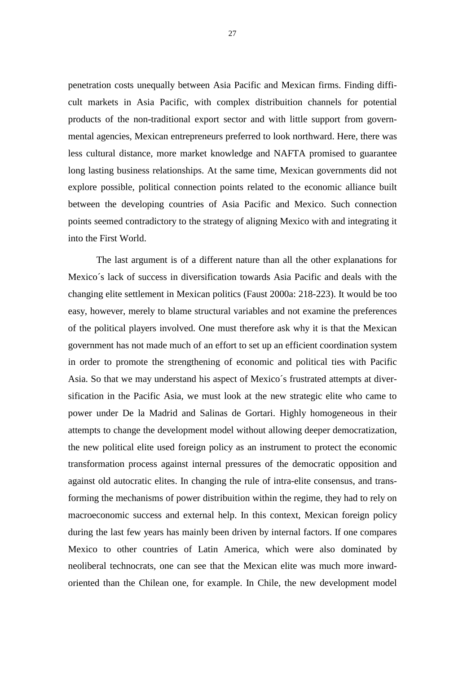penetration costs unequally between Asia Pacific and Mexican firms. Finding difficult markets in Asia Pacific, with complex distribuition channels for potential products of the non-traditional export sector and with little support from governmental agencies, Mexican entrepreneurs preferred to look northward. Here, there was less cultural distance, more market knowledge and NAFTA promised to guarantee long lasting business relationships. At the same time, Mexican governments did not explore possible, political connection points related to the economic alliance built between the developing countries of Asia Pacific and Mexico. Such connection points seemed contradictory to the strategy of aligning Mexico with and integrating it into the First World.

The last argument is of a different nature than all the other explanations for Mexico´s lack of success in diversification towards Asia Pacific and deals with the changing elite settlement in Mexican politics (Faust 2000a: 218-223). It would be too easy, however, merely to blame structural variables and not examine the preferences of the political players involved. One must therefore ask why it is that the Mexican government has not made much of an effort to set up an efficient coordination system in order to promote the strengthening of economic and political ties with Pacific Asia. So that we may understand his aspect of Mexico´s frustrated attempts at diversification in the Pacific Asia, we must look at the new strategic elite who came to power under De la Madrid and Salinas de Gortari. Highly homogeneous in their attempts to change the development model without allowing deeper democratization, the new political elite used foreign policy as an instrument to protect the economic transformation process against internal pressures of the democratic opposition and against old autocratic elites. In changing the rule of intra-elite consensus, and transforming the mechanisms of power distribuition within the regime, they had to rely on macroeconomic success and external help. In this context, Mexican foreign policy during the last few years has mainly been driven by internal factors. If one compares Mexico to other countries of Latin America, which were also dominated by neoliberal technocrats, one can see that the Mexican elite was much more inwardoriented than the Chilean one, for example. In Chile, the new development model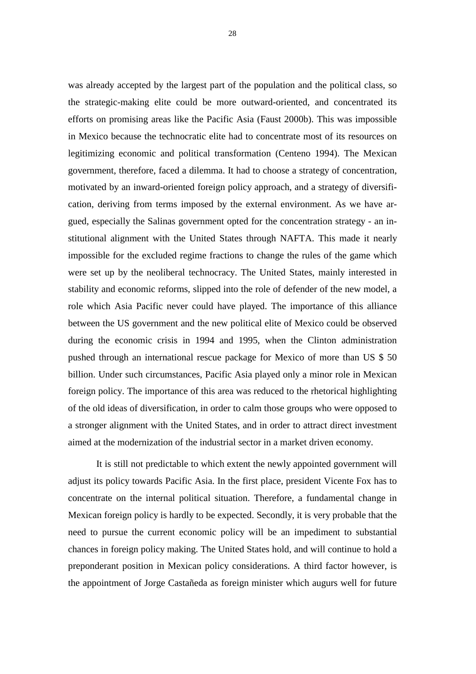was already accepted by the largest part of the population and the political class, so the strategic-making elite could be more outward-oriented, and concentrated its efforts on promising areas like the Pacific Asia (Faust 2000b). This was impossible in Mexico because the technocratic elite had to concentrate most of its resources on legitimizing economic and political transformation (Centeno 1994). The Mexican government, therefore, faced a dilemma. It had to choose a strategy of concentration, motivated by an inward-oriented foreign policy approach, and a strategy of diversification, deriving from terms imposed by the external environment. As we have argued, especially the Salinas government opted for the concentration strategy - an institutional alignment with the United States through NAFTA. This made it nearly impossible for the excluded regime fractions to change the rules of the game which were set up by the neoliberal technocracy. The United States, mainly interested in stability and economic reforms, slipped into the role of defender of the new model, a role which Asia Pacific never could have played. The importance of this alliance between the US government and the new political elite of Mexico could be observed during the economic crisis in 1994 and 1995, when the Clinton administration pushed through an international rescue package for Mexico of more than US \$ 50 billion. Under such circumstances, Pacific Asia played only a minor role in Mexican foreign policy. The importance of this area was reduced to the rhetorical highlighting of the old ideas of diversification, in order to calm those groups who were opposed to a stronger alignment with the United States, and in order to attract direct investment aimed at the modernization of the industrial sector in a market driven economy.

It is still not predictable to which extent the newly appointed government will adjust its policy towards Pacific Asia. In the first place, president Vicente Fox has to concentrate on the internal political situation. Therefore, a fundamental change in Mexican foreign policy is hardly to be expected. Secondly, it is very probable that the need to pursue the current economic policy will be an impediment to substantial chances in foreign policy making. The United States hold, and will continue to hold a preponderant position in Mexican policy considerations. A third factor however, is the appointment of Jorge Castañeda as foreign minister which augurs well for future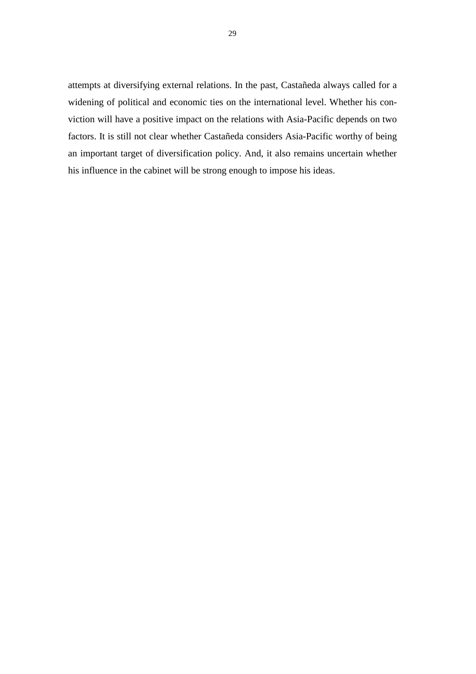attempts at diversifying external relations. In the past, Castañeda always called for a widening of political and economic ties on the international level. Whether his conviction will have a positive impact on the relations with Asia-Pacific depends on two factors. It is still not clear whether Castañeda considers Asia-Pacific worthy of being an important target of diversification policy. And, it also remains uncertain whether his influence in the cabinet will be strong enough to impose his ideas.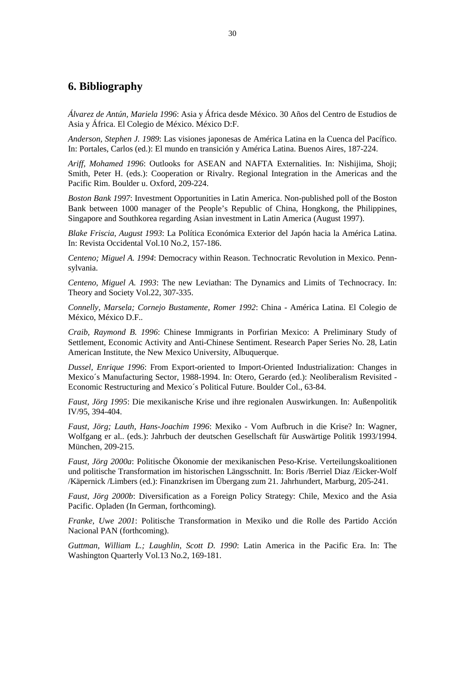#### **6. Bibliography**

*Álvarez de Antún, Mariela 1996*: Asia y África desde México. 30 Años del Centro de Estudios de Asia y África. El Colegio de México. México D:F.

*Anderson, Stephen J. 1989*: Las visiones japonesas de América Latina en la Cuenca del Pacífico. In: Portales, Carlos (ed.): El mundo en transición y América Latina. Buenos Aires, 187-224.

*Ariff, Mohamed 1996*: Outlooks for ASEAN and NAFTA Externalities. In: Nishijima, Shoji; Smith, Peter H. (eds.): Cooperation or Rivalry. Regional Integration in the Americas and the Pacific Rim. Boulder u. Oxford, 209-224.

*Boston Bank 1997*: Investment Opportunities in Latin America. Non-published poll of the Boston Bank between 1000 manager of the People's Republic of China, Hongkong, the Philippines, Singapore and Southkorea regarding Asian investment in Latin America (August 1997).

*Blake Friscia, August 1993*: La Política Económica Exterior del Japón hacia la América Latina. In: Revista Occidental Vol.10 No.2, 157-186.

*Centeno; Miguel A. 1994*: Democracy within Reason. Technocratic Revolution in Mexico. Pennsylvania.

*Centeno, Miguel A. 1993*: The new Leviathan: The Dynamics and Limits of Technocracy. In: Theory and Society Vol.22, 307-335.

*Connelly, Marsela; Cornejo Bustamente, Romer 1992*: China - América Latina. El Colegio de México, México D.F..

*Craib, Raymond B. 1996*: Chinese Immigrants in Porfirian Mexico: A Preliminary Study of Settlement, Economic Activity and Anti-Chinese Sentiment. Research Paper Series No. 28, Latin American Institute, the New Mexico University, Albuquerque.

*Dussel, Enrique 1996*: From Export-oriented to Import-Oriented Industrialization: Changes in Mexico´s Manufacturing Sector, 1988-1994. In: Otero, Gerardo (ed.): Neoliberalism Revisited - Economic Restructuring and Mexico´s Political Future. Boulder Col., 63-84.

*Faust, Jörg 1995*: Die mexikanische Krise und ihre regionalen Auswirkungen. In: Außenpolitik IV/95, 394-404.

*Faust, Jörg; Lauth, Hans-Joachim 1996*: Mexiko - Vom Aufbruch in die Krise? In: Wagner, Wolfgang er al.. (eds.): Jahrbuch der deutschen Gesellschaft für Auswärtige Politik 1993/1994. München, 209-215.

*Faust, Jörg 2000a*: Politische Ökonomie der mexikanischen Peso-Krise. Verteilungskoalitionen und politische Transformation im historischen Längsschnitt. In: Boris /Berriel Diaz /Eicker-Wolf /Käpernick /Limbers (ed.): Finanzkrisen im Übergang zum 21. Jahrhundert, Marburg, 205-241.

*Faust, Jörg 2000b*: Diversification as a Foreign Policy Strategy: Chile, Mexico and the Asia Pacific. Opladen (In German, forthcoming).

*Franke, Uwe 2001*: Politische Transformation in Mexiko und die Rolle des Partido Acción Nacional PAN (forthcoming).

*Guttman, William L.; Laughlin, Scott D. 1990*: Latin America in the Pacific Era. In: The Washington Quarterly Vol.13 No.2, 169-181.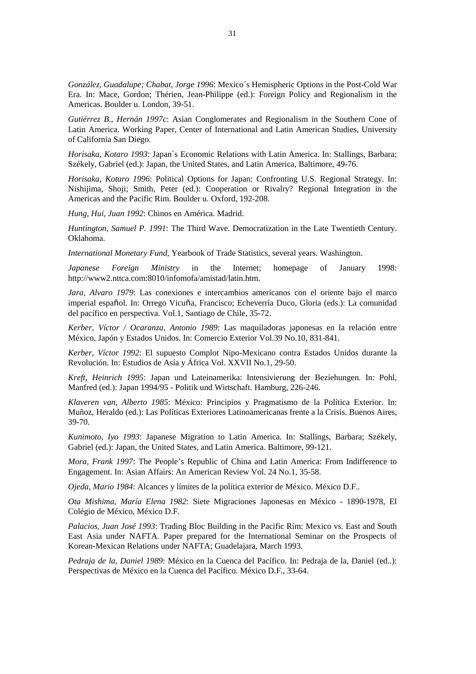*González, Guadalupe; Chabat, Jorge 1996*: Mexico´s Hemispheric Options in the Post-Cold War Era. In: Mace, Gordon; Thérien, Jean-Philippe (ed.): Foreign Policy and Regionalism in the Americas. Boulder u. London, 39-51.

*Gutiérrez B., Hernán 1997c*: Asian Conglomerates and Regionalism in the Southern Cone of Latin America. Working Paper, Center of International and Latin American Studies, University of California San Diego.

*Horisaka, Kotaro 1993*: Japan´s Economic Relations with Latin America. In: Stallings, Barbara; Székely, Gabriel (ed.): Japan, the United States, and Latin America, Baltimore, 49-76.

*Horisaka, Kotaro 1996*: Political Options for Japan: Confronting U.S. Regional Strategy. In: Nishijima, Shoji; Smith, Peter (ed.): Cooperation or Rivalry? Regional Integration in the Americas and the Pacific Rim. Boulder u. Oxford, 192-208.

*Hung, Hui, Juan 1992*: Chinos en América. Madrid.

*Huntington, Samuel P. 1991*: The Third Wave. Democratization in the Late Twentieth Century. Oklahoma.

*International Monetary Fund*, Yearbook of Trade Statistics, several years. Washington.

*Japanese Foreign Ministry* in the Internet; homepage of January 1998: http://www2.nttca.com:8010/infomofa/amistad/latin.htm.

*Jara, Alvaro 1979*: Las conexiones e intercambios americanos con el oriente bajo el marco imperial español. In: Orrego Vicuña, Francisco; Echeverría Duco, Gloria (eds.): La comunidad del pacífico en perspectiva. Vol.1, Santiago de Chile, 35-72.

*Kerber, Víctor / Ocaranza, Antonio 1989*: Las maquiladoras japonesas en la relación entre México, Japón y Estados Unidos. In: Comercio Exterior Vol.39 No.10, 831-841.

*Kerber, Víctor 1992*: El supuesto Complot Nipo-Mexicano contra Estados Unidos durante la Revolución. In: Estudios de Asía y África Vol. XXVII No.1, 29-50.

*Kreft, Heinrich 1995*: Japan und Lateinamerika: Intensivierung der Beziehungen. In: Pohl, Manfred (ed.): Japan 1994/95 - Politik und Wirtschaft. Hamburg, 226-246.

*Klaveren van, Alberto 1985*: México: Principios y Pragmatismo de la Política Exterior. In: Muñoz, Heraldo (ed.): Las Políticas Exteriores Latinoamericanas frente a la Crisis. Buenos Aires, 39-70.

*Kunimoto, Iyo 1993*: Japanese Migration to Latin America. In: Stallings, Barbara; Székely, Gabriel (ed.): Japan, the United States, and Latin America. Baltimore, 99-121.

*Mora, Frank 1997*: The People's Republic of China and Latin America: From Indifference to Engagement. In: Asian Affairs: An American Review Vol. 24 No.1, 35-58.

*Ojeda, Mario 1984*: Alcances y límites de la política exterior de México. México D.F..

*Ota Mishima, María Elena 1982*: Siete Migraciones Japonesas en México - 1890-1978, El Colégio de México, México D.F.

*Palacios, Juan José 1993*: Trading Bloc Building in the Pacific Rim: Mexico vs. East and South East Asia under NAFTA. Paper prepared for the International Seminar on the Prospects of Korean-Mexican Relations under NAFTA; Guadelajara, March 1993.

*Pedraja de la, Daniel 1989*: México en la Cuenca del Pacífico. In: Pedraja de la, Daniel (ed..): Perspectivas de México en la Cuenca del Pacífico. México D.F., 33-64.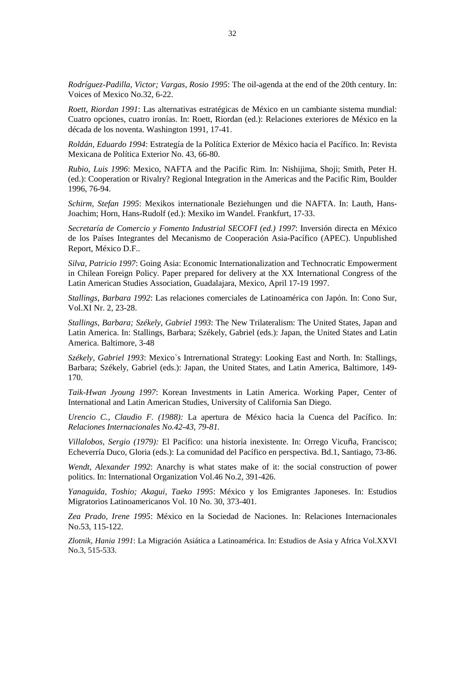*Rodríguez-Padilla, Victor; Vargas, Rosio 1995*: The oil-agenda at the end of the 20th century. In: Voices of Mexico No.32, 6-22.

*Roett, Riordan 1991*: Las alternativas estratégicas de México en un cambiante sistema mundial: Cuatro opciones, cuatro ironías. In: Roett, Riordan (ed.): Relaciones exteriores de México en la década de los noventa. Washington 1991, 17-41.

*Roldán, Eduardo 1994*: Estrategía de la Política Exterior de México hacia el Pacífico. In: Revista Mexicana de Política Exterior No. 43, 66-80.

*Rubio, Luis 1996*: Mexico, NAFTA and the Pacific Rim. In: Nishijima, Shoji; Smith, Peter H. (ed.): Cooperation or Rivalry? Regional Integration in the Americas and the Pacific Rim, Boulder 1996, 76-94.

*Schirm, Stefan 1995*: Mexikos internationale Beziehungen und die NAFTA. In: Lauth, Hans-Joachim; Horn, Hans-Rudolf (ed.): Mexiko im Wandel. Frankfurt, 17-33.

*Secretaría de Comercio y Fomento Industrial SECOFI (ed.) 1997*: Inversión directa en México de los Países Integrantes del Mecanismo de Cooperación Asia-Pacífico (APEC). Unpublished Report, México D.F..

*Silva, Patricio 1997*: Going Asia: Economic Internationalization and Technocratic Empowerment in Chilean Foreign Policy. Paper prepared for delivery at the XX International Congress of the Latin American Studies Association, Guadalajara, Mexico, April 17-19 1997.

*Stallings, Barbara 1992*: Las relaciones comerciales de Latinoamérica con Japón. In: Cono Sur, Vol.XI Nr. 2, 23-28.

*Stallings, Barbara; Székely, Gabriel 1993*: The New Trilateralism: The United States, Japan and Latin America. In: Stallings, Barbara; Székely, Gabriel (eds.): Japan, the United States and Latin America. Baltimore, 3-48

*Székely, Gabriel 1993*: Mexico`s Intrernational Strategy: Looking East and North. In: Stallings, Barbara; Székely, Gabriel (eds.): Japan, the United States, and Latin America, Baltimore, 149- 170.

*Taik-Hwan Jyoung 1997*: Korean Investments in Latin America. Working Paper, Center of International and Latin American Studies, University of California San Diego.

*Urencio C., Claudio F. (1988):* La apertura de México hacia la Cuenca del Pacífico. In: *Relaciones Internacionales No.42-43, 79-81.* 

*Villalobos, Sergio (1979):* El Pacífico: una historía inexistente. In: Orrego Vicuña, Francisco; Echeverría Duco, Gloria (eds.): La comunidad del Pacífico en perspectiva. Bd.1, Santiago, 73-86.

*Wendt, Alexander 1992*: Anarchy is what states make of it: the social construction of power politics. In: International Organization Vol.46 No.2, 391-426.

*Yanaguida, Toshio; Akagui, Taeko 1995*: México y los Emigrantes Japoneses. In: Estudios Migratorios Latinoamericanos Vol. 10 No. 30, 373-401.

*Zea Prado, Irene 1995*: México en la Sociedad de Naciones. In: Relaciones Internacionales No.53, 115-122.

*Zlotnik, Hania 1991*: La Migración Asiática a Latinoamérica. In: Estudios de Asia y Africa Vol.XXVI No.3, 515-533.